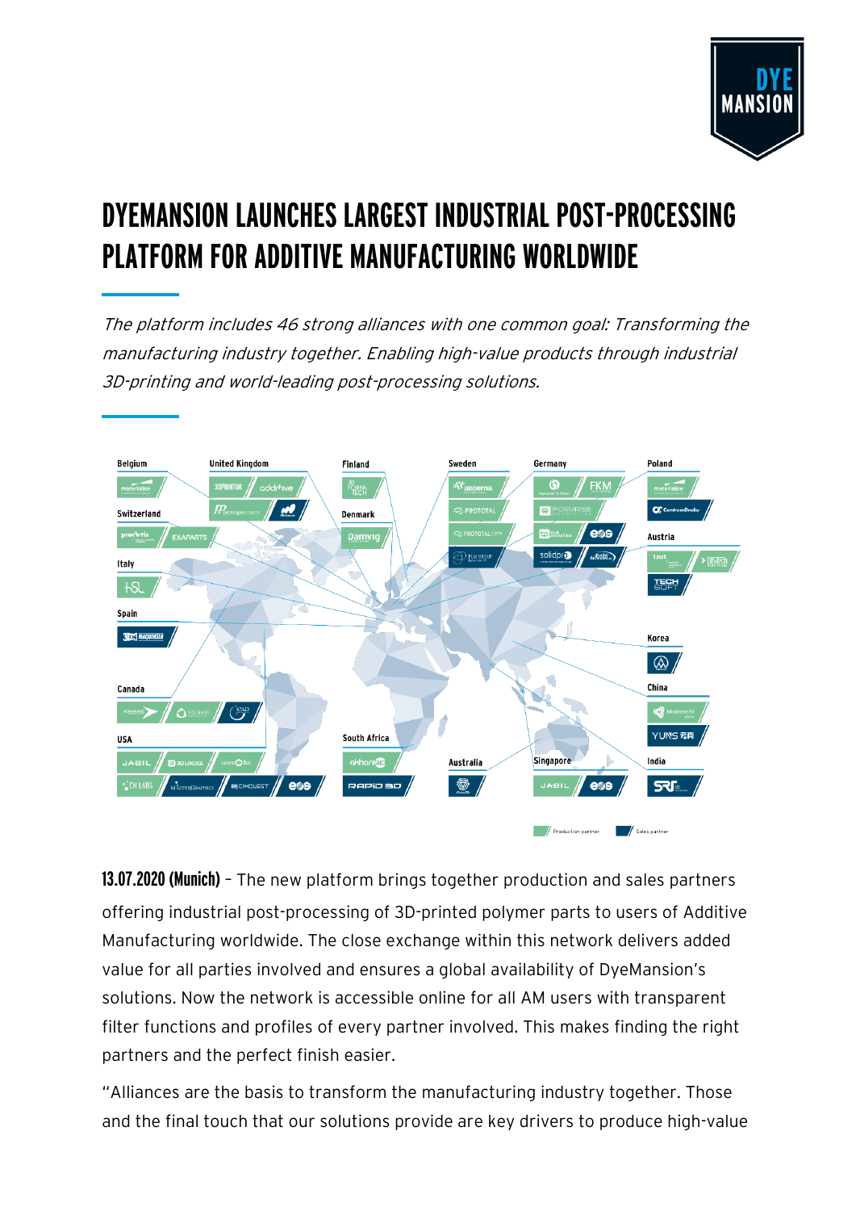

# **DYEMANSION LAUNCHES LARGEST INDUSTRIAL POST-PROCESSING PLATFORM FOR ADDITIVE MANUFACTURING WORLDWIDE**

The platform includes 46 strong alliances with one common goal: Transforming the manufacturing industry together. Enabling high-value products through industrial 3D-printing and world-leading post-processing solutions.



**13.07.2020 (Munich)** – The new platform brings together production and sales partners offering industrial post-processing of 3D-printed polymer parts to users of Additive Manufacturing worldwide. The close exchange within this network delivers added value for all parties involved and ensures a global availability of DyeMansion's solutions. Now the network is accessible online for all AM users with transparent filter functions and profiles of every partner involved. This makes finding the right partners and the perfect finish easier.

"Alliances are the basis to transform the manufacturing industry together. Those and the final touch that our solutions provide are key drivers to produce high-value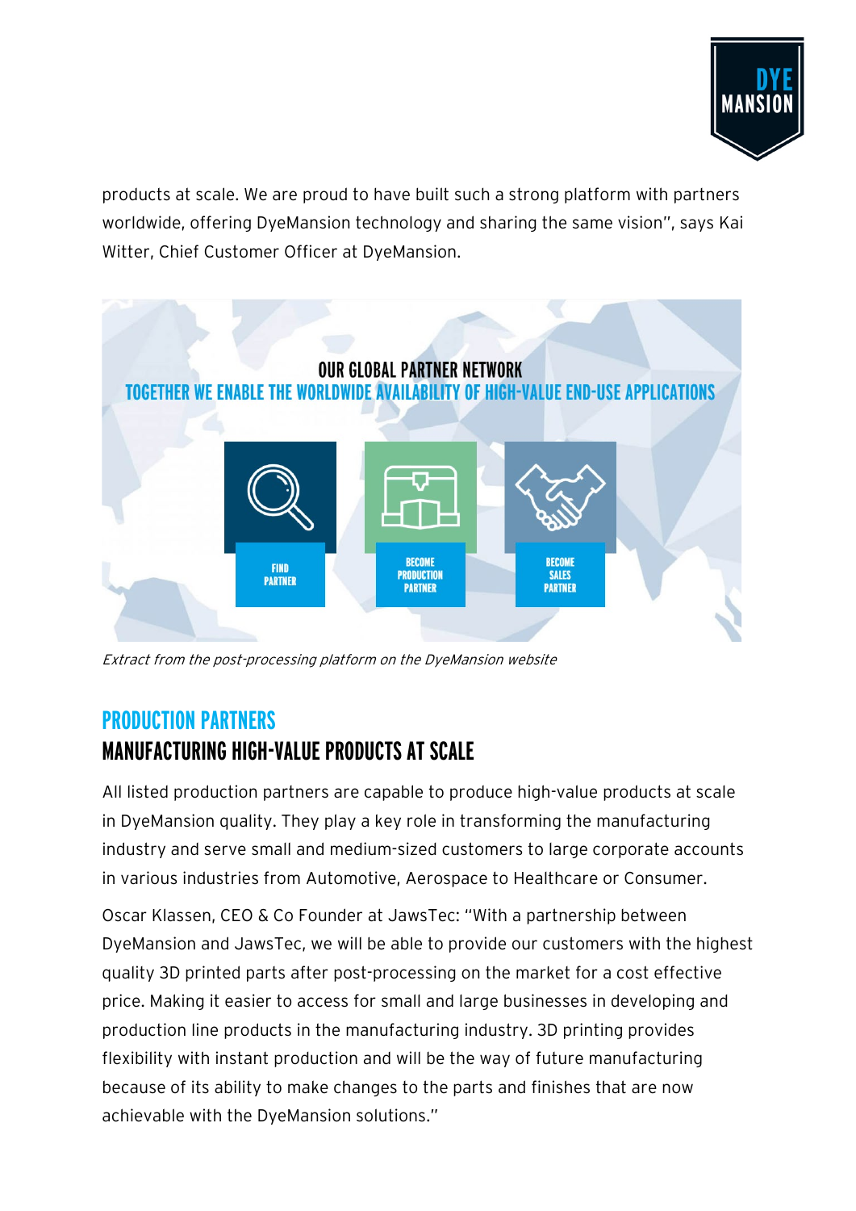

products at scale. We are proud to have built such a strong platform with partners worldwide, offering DyeMansion technology and sharing the same vision", says Kai Witter, Chief Customer Officer at DyeMansion.



Extract from the post-processing platform on the DyeMansion website

### **PRODUCTION PARTNERS MANUFACTURING HIGH-VALUE PRODUCTS AT SCALE**

All listed production partners are capable to produce high-value products at scale in DyeMansion quality. They play a key role in transforming the manufacturing industry and serve small and medium-sized customers to large corporate accounts in various industries from Automotive, Aerospace to Healthcare or Consumer.

Oscar Klassen, CEO & Co Founder at JawsTec: "With a partnership between DyeMansion and JawsTec, we will be able to provide our customers with the highest quality 3D printed parts after post-processing on the market for a cost effective price. Making it easier to access for small and large businesses in developing and production line products in the manufacturing industry. 3D printing provides flexibility with instant production and will be the way of future manufacturing because of its ability to make changes to the parts and finishes that are now achievable with the DyeMansion solutions."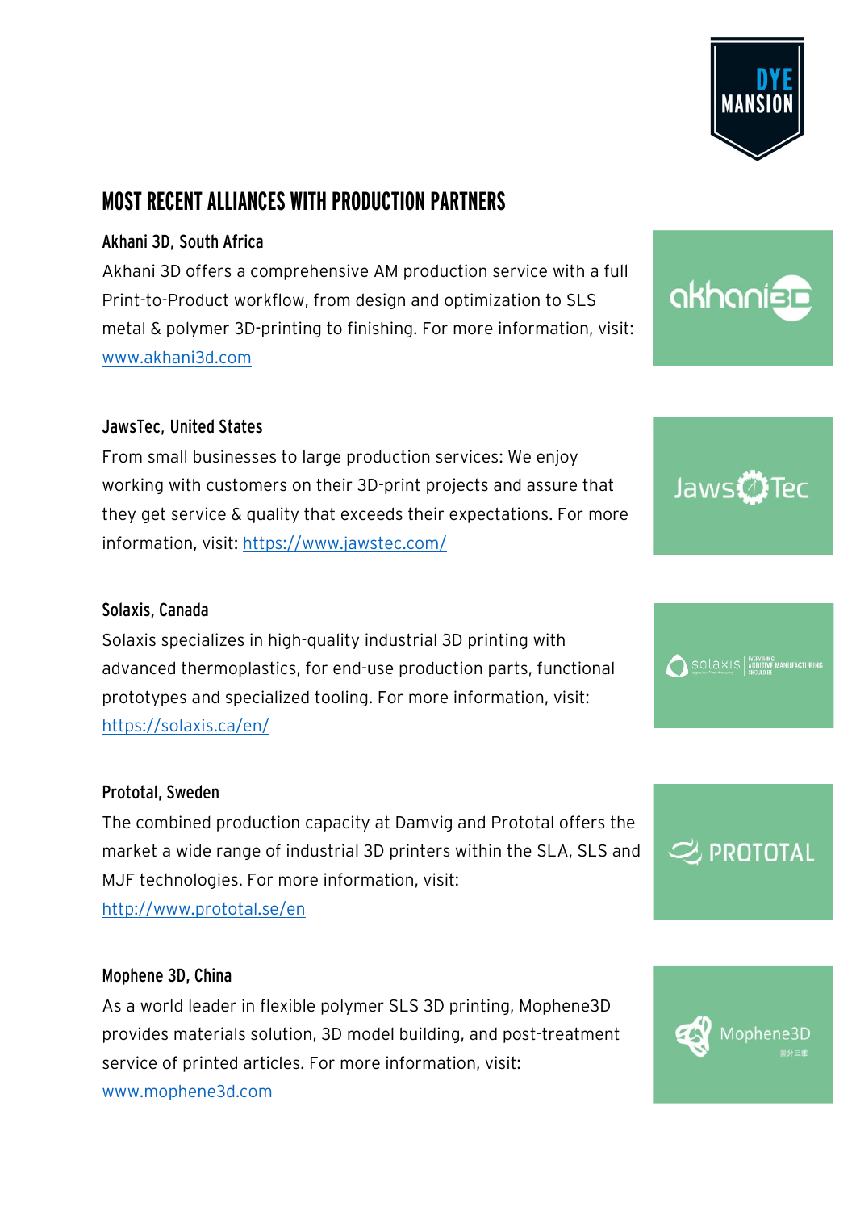

### **MOST RECENT ALLIANCES WITH PRODUCTION PARTNERS**

#### Akhani 3D, South Africa

Akhani 3D offers a comprehensive AM production service with a full Print-to-Product workflow, from design and optimization to SLS metal & polymer 3D-printing to finishing. For more information, visit: [www.akhani3d.com](https://www.akhani3d.com/)

#### JawsTec, United States

From small businesses to large production services: We enjoy working with customers on their 3D-print projects and assure that they get service & quality that exceeds their expectations. For more information, visit:<https://www.jawstec.com/>

#### Solaxis, Canada

Solaxis specializes in high-quality industrial 3D printing with advanced thermoplastics, for end-use production parts, functional prototypes and specialized tooling. For more information, visit: <https://solaxis.ca/en/>

#### Prototal, Sweden

The combined production capacity at Damvig and Prototal offers the market a wide range of industrial 3D printers within the SLA, SLS and MJF technologies. For more information, visit: <http://www.prototal.se/en>

#### Mophene 3D, China

As a world leader in flexible polymer SLS 3D printing, Mophene3D provides materials solution, 3D model building, and post-treatment service of printed articles. For more information, visit: [www.mophene3d.com](http://www.mophene3d.com/)









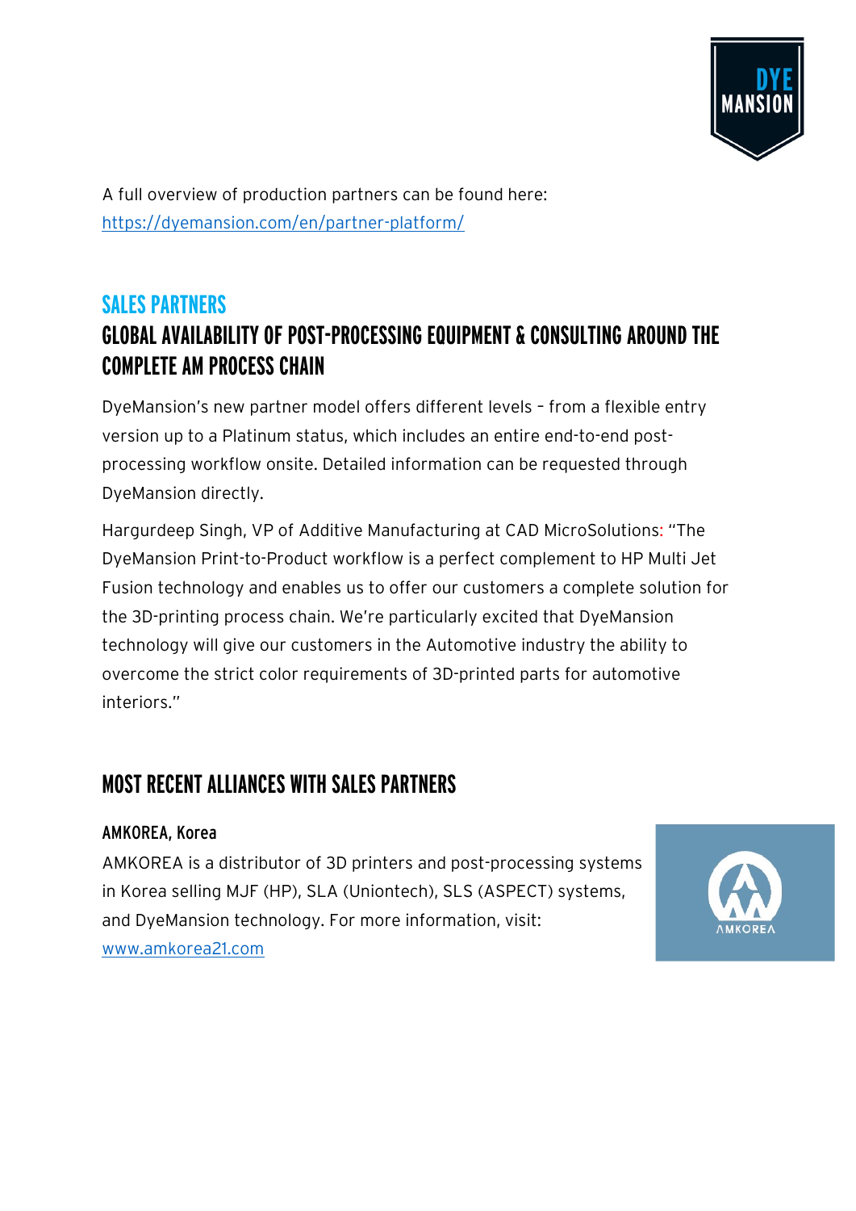

A full overview of production partners can be found here: <https://dyemansion.com/en/partner-platform/>

### **SALES PARTNERS GLOBAL AVAILABILITY OF POST-PROCESSING EQUIPMENT & CONSULTING AROUND THE COMPLETE AM PROCESS CHAIN**

DyeMansion's new partner model offers different levels – from a flexible entry version up to a Platinum status, which includes an entire end-to-end postprocessing workflow onsite. Detailed information can be requested through DyeMansion directly.

Hargurdeep Singh, VP of Additive Manufacturing at CAD MicroSolutions: "The DyeMansion Print-to-Product workflow is a perfect complement to HP Multi Jet Fusion technology and enables us to offer our customers a complete solution for the 3D-printing process chain. We're particularly excited that DyeMansion technology will give our customers in the Automotive industry the ability to overcome the strict color requirements of 3D-printed parts for automotive interiors."

### **MOST RECENT ALLIANCES WITH SALES PARTNERS**

#### AMKOREA, Korea

AMKOREA is a distributor of 3D printers and post-processing systems in Korea selling MJF (HP), SLA (Uniontech), SLS (ASPECT) systems, and DyeMansion technology. For more information, visit: [www.amkorea21.com](http://www.amkorea21.com/) 

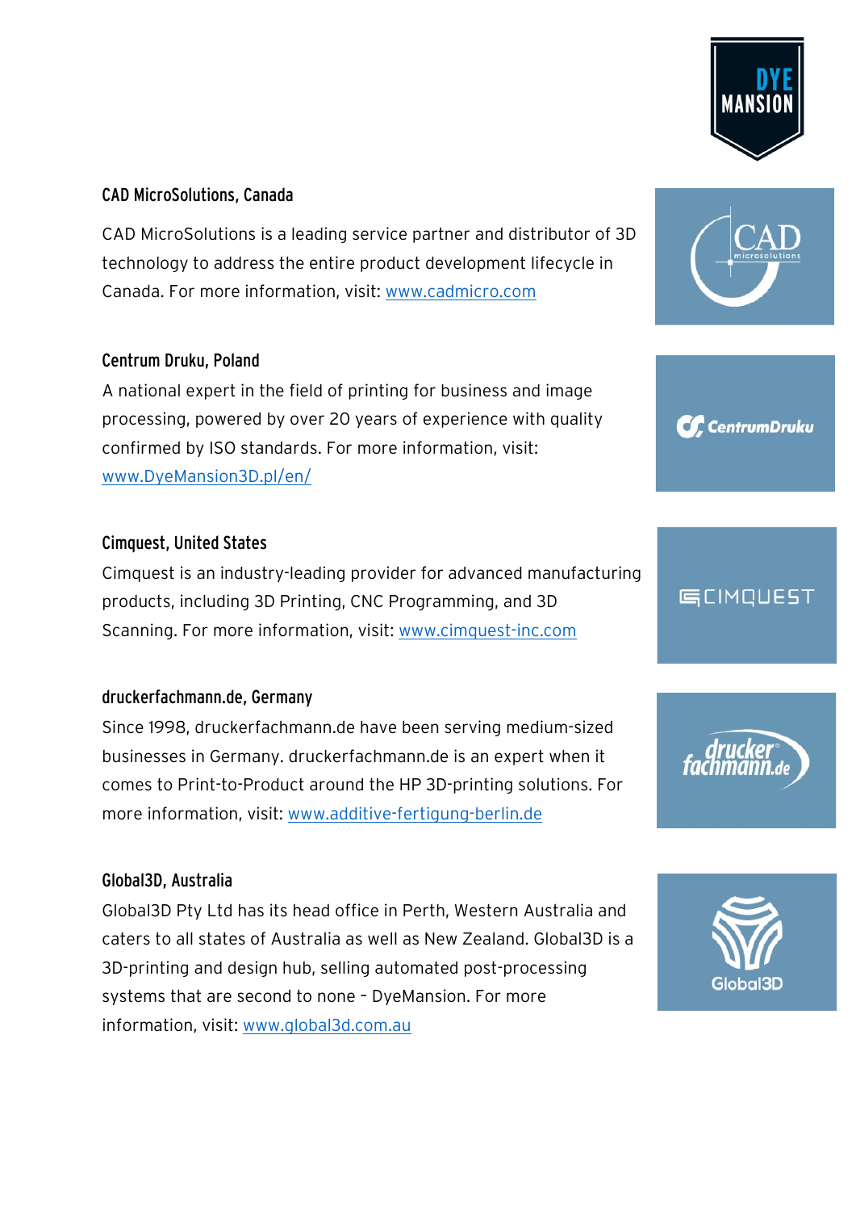#### CAD MicroSolutions, Canada

CAD MicroSolutions is a leading service partner and distributor of 3D technology to address the entire product development lifecycle in Canada. For more information, visit: [www.cadmicro.com](http://www.cadmicro.com/)

#### Centrum Druku, Poland

A national expert in the field of printing for business and image processing, powered by over 20 years of experience with quality confirmed by ISO standards. For more information, visit: [www.DyeMansion3D.pl/en/](https://eur01.safelinks.protection.outlook.com/?url=http%3A%2F%2Fwww.dyemansion3d.pl%2Fen%2F&data=01%7C01%7Csabrina.gugel%40dyemansion.com%7C144d7d0c89bf45e145dc08d821aced9a%7Ca3abb1e3514c45f5a54d16c4b87ec141%7C0&sdata=d3QAimpGE8dmUdSAVJLmmRmLGp4LjUQWQCAPpjKcO8I%3D&reserved=0)

#### Cimquest, United States

Cimquest is an industry-leading provider for advanced manufacturing products, including 3D Printing, CNC Programming, and 3D Scanning. For more information, visit: [www.cimquest-inc.com](http://www.cimquest-inc.com/)

#### druckerfachmann.de, Germany

Since 1998, druckerfachmann.de have been serving medium-sized businesses in Germany. druckerfachmann.de is an expert when it comes to Print-to-Product around the HP 3D-printing solutions. For more information, visit: [www.additive-fertigung-berlin.de](http://www.additive-fertigung-berlin.de/)

#### Global3D, Australia

Global3D Pty Ltd has its head office in Perth, Western Australia and caters to all states of Australia as well as New Zealand. Global3D is a 3D-printing and design hub, selling automated post-processing systems that are second to none – DyeMansion. For more information, visit: [www.global3d.com.au](http://www.global3d.com.au/)











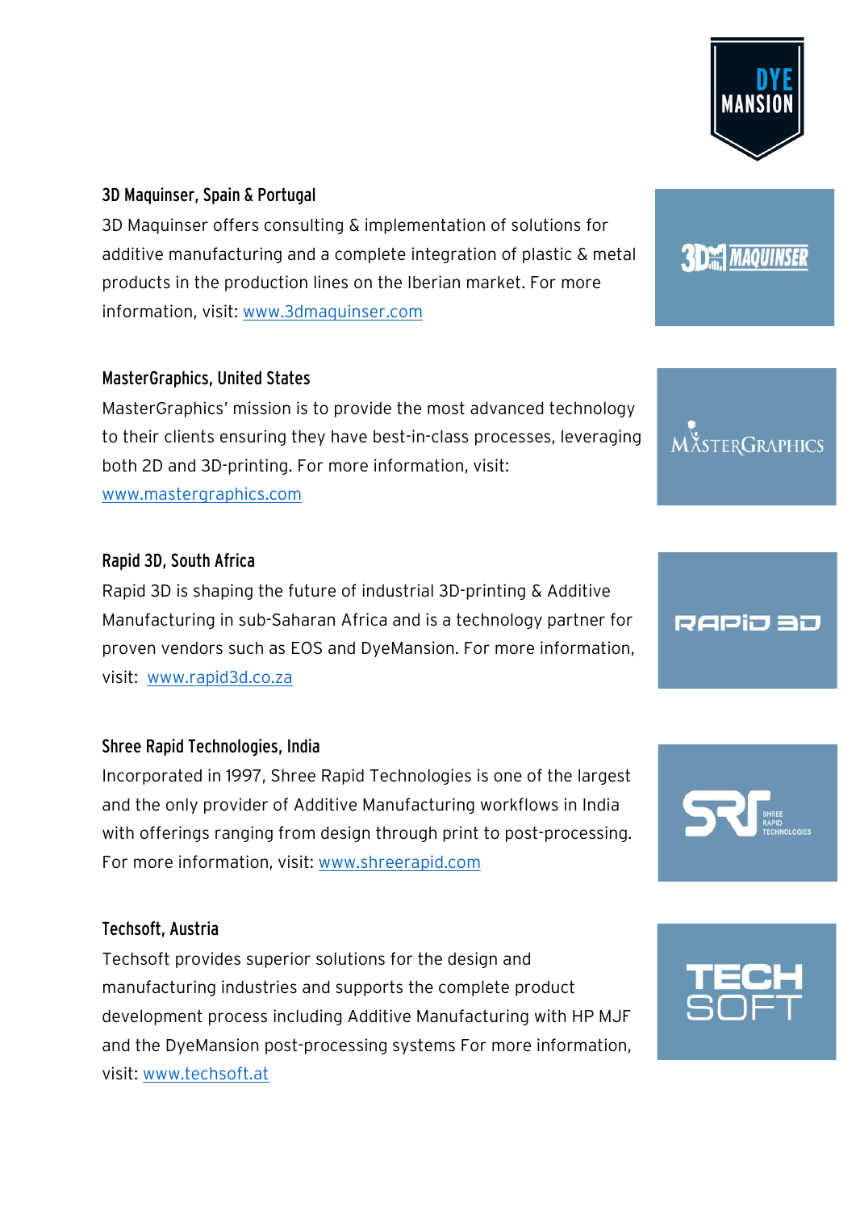#### 3D Maquinser, Spain & Portugal

3D Maquinser offers consulting & implementation of solutions for additive manufacturing and a complete integration of plastic & metal products in the production lines on the Iberian market. For more information, visit: [www.3dmaquinser.com](http://www.3dmaquinser.com/)

#### MasterGraphics, United States

MasterGraphics' mission is to provide the most advanced technology to their clients ensuring they have best-in-class processes, leveraging both 2D and 3D-printing. For more information, visit: www.mastergraphics.com

#### Rapid 3D, South Africa

Rapid 3D is shaping the future of industrial 3D-printing & Additive Manufacturing in sub-Saharan Africa and is a technology partner for proven vendors such as EOS and DyeMansion. For more information, visit: www.rapid3d.co.za

#### Shree Rapid Technologies, India

Incorporated in 1997, Shree Rapid Technologies is one of the largest and the only provider of Additive Manufacturing workflows in India with offerings ranging from design through print to post-processing. For more information, visit: [www.shreerapid.com](http://www.shreerapid.com/)

#### Techsoft, Austria

Techsoft provides superior solutions for the design and manufacturing industries and supports the complete product development process including Additive Manufacturing with HP MJF and the DyeMansion post-processing systems For more information, visit: [www.techsoft.at](http://www.techsoft.at/)



## **3D MAQUINSER**

MÄSTERGRAPHICS

### RAPiJ 30